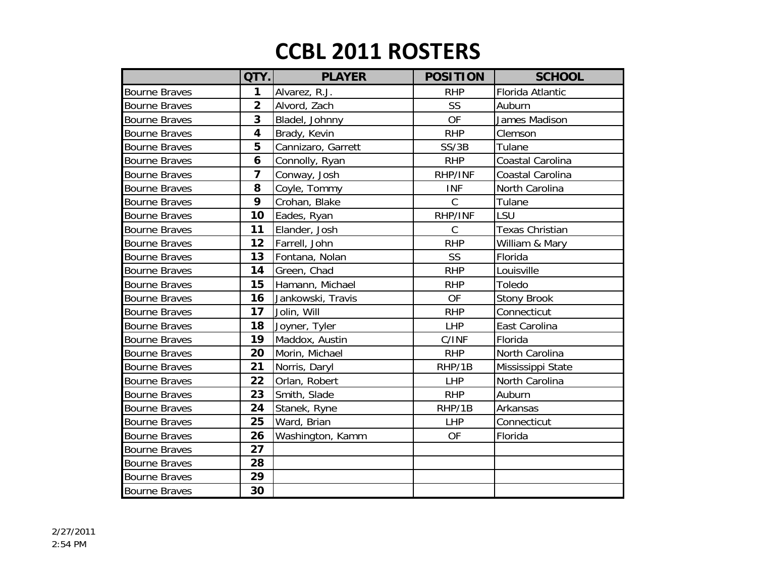|                      | QTY.                    | <b>PLAYER</b>      | <b>POSITION</b> | <b>SCHOOL</b>          |
|----------------------|-------------------------|--------------------|-----------------|------------------------|
| <b>Bourne Braves</b> | 1                       | Alvarez, R.J.      | <b>RHP</b>      | Florida Atlantic       |
| <b>Bourne Braves</b> | $\overline{2}$          | Alvord, Zach       | <b>SS</b>       | Auburn                 |
| <b>Bourne Braves</b> | 3                       | Bladel, Johnny     | <b>OF</b>       | James Madison          |
| <b>Bourne Braves</b> | 4                       | Brady, Kevin       | <b>RHP</b>      | Clemson                |
| <b>Bourne Braves</b> | 5                       | Cannizaro, Garrett | SS/3B           | Tulane                 |
| <b>Bourne Braves</b> | 6                       | Connolly, Ryan     | <b>RHP</b>      | Coastal Carolina       |
| <b>Bourne Braves</b> | $\overline{\mathbf{z}}$ | Conway, Josh       | RHP/INF         | Coastal Carolina       |
| <b>Bourne Braves</b> | 8                       | Coyle, Tommy       | <b>INF</b>      | North Carolina         |
| <b>Bourne Braves</b> | 9                       | Crohan, Blake      | $\mathsf{C}$    | Tulane                 |
| <b>Bourne Braves</b> | 10                      | Eades, Ryan        | RHP/INF         | LSU                    |
| <b>Bourne Braves</b> | 11                      | Elander, Josh      | $\mathcal{C}$   | <b>Texas Christian</b> |
| <b>Bourne Braves</b> | 12                      | Farrell, John      | <b>RHP</b>      | William & Mary         |
| <b>Bourne Braves</b> | 13                      | Fontana, Nolan     | SS              | Florida                |
| <b>Bourne Braves</b> | 14                      | Green, Chad        | <b>RHP</b>      | Louisville             |
| <b>Bourne Braves</b> | 15                      | Hamann, Michael    | <b>RHP</b>      | Toledo                 |
| <b>Bourne Braves</b> | 16                      | Jankowski, Travis  | <b>OF</b>       | <b>Stony Brook</b>     |
| <b>Bourne Braves</b> | 17                      | Jolin, Will        | <b>RHP</b>      | Connecticut            |
| <b>Bourne Braves</b> | 18                      | Joyner, Tyler      | <b>LHP</b>      | East Carolina          |
| <b>Bourne Braves</b> | 19                      | Maddox, Austin     | C/INF           | Florida                |
| <b>Bourne Braves</b> | 20                      | Morin, Michael     | <b>RHP</b>      | North Carolina         |
| <b>Bourne Braves</b> | 21                      | Norris, Daryl      | RHP/1B          | Mississippi State      |
| <b>Bourne Braves</b> | 22                      | Orlan, Robert      | <b>LHP</b>      | North Carolina         |
| <b>Bourne Braves</b> | 23                      | Smith, Slade       | <b>RHP</b>      | Auburn                 |
| <b>Bourne Braves</b> | 24                      | Stanek, Ryne       | RHP/1B          | Arkansas               |
| <b>Bourne Braves</b> | 25                      | Ward, Brian        | <b>LHP</b>      | Connecticut            |
| <b>Bourne Braves</b> | 26                      | Washington, Kamm   | <b>OF</b>       | Florida                |
| <b>Bourne Braves</b> | 27                      |                    |                 |                        |
| <b>Bourne Braves</b> | 28                      |                    |                 |                        |
| <b>Bourne Braves</b> | 29                      |                    |                 |                        |
| <b>Bourne Braves</b> | 30                      |                    |                 |                        |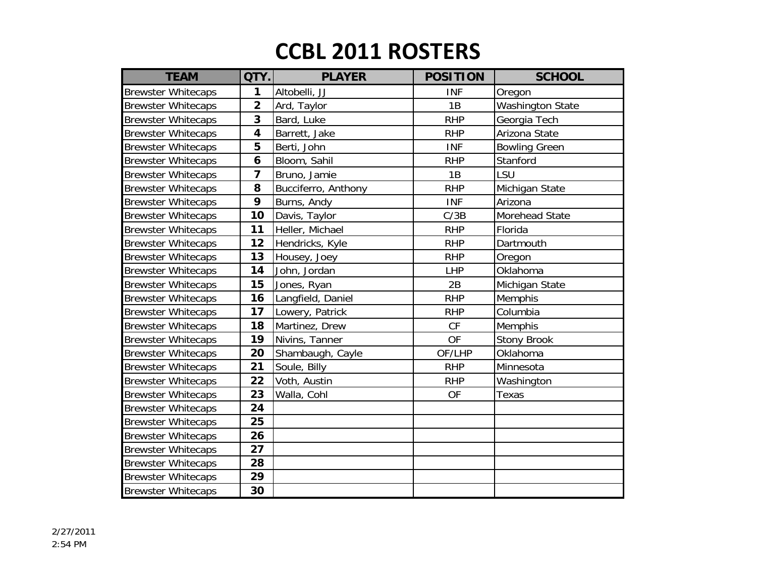| <b>TEAM</b>               | QTY.                    | <b>PLAYER</b>       | <b>POSITION</b> | <b>SCHOOL</b>           |
|---------------------------|-------------------------|---------------------|-----------------|-------------------------|
| <b>Brewster Whitecaps</b> | 1                       | Altobelli, JJ       | <b>INF</b>      | Oregon                  |
| <b>Brewster Whitecaps</b> | $\overline{\mathbf{2}}$ | Ard, Taylor         | 1B              | <b>Washington State</b> |
| <b>Brewster Whitecaps</b> | 3                       | Bard, Luke          | <b>RHP</b>      | Georgia Tech            |
| <b>Brewster Whitecaps</b> | 4                       | Barrett, Jake       | <b>RHP</b>      | Arizona State           |
| <b>Brewster Whitecaps</b> | 5                       | Berti, John         | <b>INF</b>      | <b>Bowling Green</b>    |
| <b>Brewster Whitecaps</b> | 6                       | Bloom, Sahil        | <b>RHP</b>      | Stanford                |
| <b>Brewster Whitecaps</b> | 7                       | Bruno, Jamie        | 1B              | LSU                     |
| <b>Brewster Whitecaps</b> | 8                       | Bucciferro, Anthony | <b>RHP</b>      | Michigan State          |
| <b>Brewster Whitecaps</b> | 9                       | Burns, Andy         | <b>INF</b>      | Arizona                 |
| <b>Brewster Whitecaps</b> | 10                      | Davis, Taylor       | C/3B            | Morehead State          |
| <b>Brewster Whitecaps</b> | 11                      | Heller, Michael     | <b>RHP</b>      | Florida                 |
| <b>Brewster Whitecaps</b> | 12                      | Hendricks, Kyle     | <b>RHP</b>      | Dartmouth               |
| <b>Brewster Whitecaps</b> | 13                      | Housey, Joey        | <b>RHP</b>      | Oregon                  |
| <b>Brewster Whitecaps</b> | 14                      | John, Jordan        | LHP             | Oklahoma                |
| <b>Brewster Whitecaps</b> | 15                      | Jones, Ryan         | 2B              | Michigan State          |
| <b>Brewster Whitecaps</b> | 16                      | Langfield, Daniel   | <b>RHP</b>      | Memphis                 |
| <b>Brewster Whitecaps</b> | 17                      | Lowery, Patrick     | <b>RHP</b>      | Columbia                |
| <b>Brewster Whitecaps</b> | 18                      | Martinez, Drew      | CF              | Memphis                 |
| <b>Brewster Whitecaps</b> | 19                      | Nivins, Tanner      | <b>OF</b>       | <b>Stony Brook</b>      |
| <b>Brewster Whitecaps</b> | 20                      | Shambaugh, Cayle    | OF/LHP          | Oklahoma                |
| <b>Brewster Whitecaps</b> | 21                      | Soule, Billy        | <b>RHP</b>      | Minnesota               |
| <b>Brewster Whitecaps</b> | 22                      | Voth, Austin        | <b>RHP</b>      | Washington              |
| <b>Brewster Whitecaps</b> | 23                      | Walla, Cohl         | OF              | Texas                   |
| <b>Brewster Whitecaps</b> | 24                      |                     |                 |                         |
| <b>Brewster Whitecaps</b> | 25                      |                     |                 |                         |
| <b>Brewster Whitecaps</b> | 26                      |                     |                 |                         |
| <b>Brewster Whitecaps</b> | 27                      |                     |                 |                         |
| <b>Brewster Whitecaps</b> | 28                      |                     |                 |                         |
| <b>Brewster Whitecaps</b> | 29                      |                     |                 |                         |
| <b>Brewster Whitecaps</b> | 30                      |                     |                 |                         |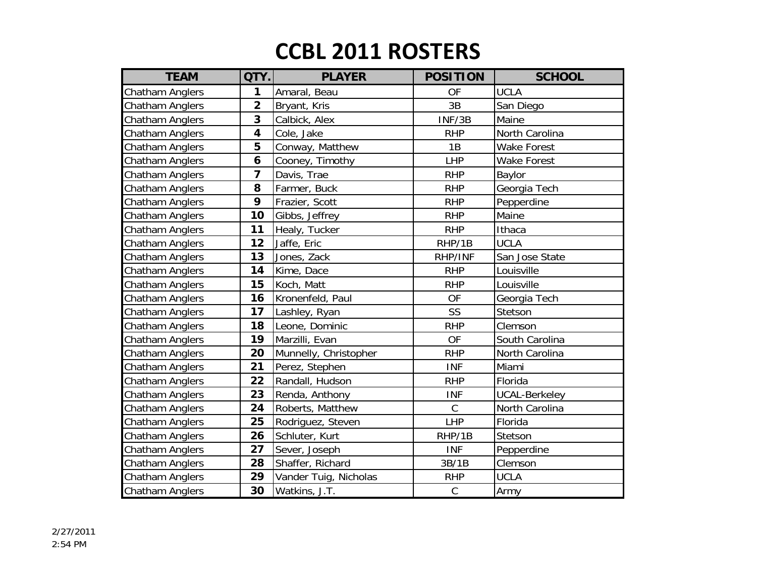| <b>TEAM</b>     | QTY.                    | <b>PLAYER</b>         | <b>POSITION</b> | <b>SCHOOL</b>        |
|-----------------|-------------------------|-----------------------|-----------------|----------------------|
| Chatham Anglers | 1                       | Amaral, Beau          | OF              | <b>UCLA</b>          |
| Chatham Anglers | $\overline{\mathbf{2}}$ | Bryant, Kris          | 3B              | San Diego            |
| Chatham Anglers | 3                       | Calbick, Alex         | INF/3B          | Maine                |
| Chatham Anglers | 4                       | Cole, Jake            | <b>RHP</b>      | North Carolina       |
| Chatham Anglers | 5                       | Conway, Matthew       | 1B              | <b>Wake Forest</b>   |
| Chatham Anglers | 6                       | Cooney, Timothy       | LHP             | <b>Wake Forest</b>   |
| Chatham Anglers | 7                       | Davis, Trae           | <b>RHP</b>      | Baylor               |
| Chatham Anglers | 8                       | Farmer, Buck          | <b>RHP</b>      | Georgia Tech         |
| Chatham Anglers | 9                       | Frazier, Scott        | <b>RHP</b>      | Pepperdine           |
| Chatham Anglers | 10                      | Gibbs, Jeffrey        | <b>RHP</b>      | Maine                |
| Chatham Anglers | 11                      | Healy, Tucker         | <b>RHP</b>      | Ithaca               |
| Chatham Anglers | 12                      | Jaffe, Eric           | RHP/1B          | <b>UCLA</b>          |
| Chatham Anglers | 13                      | Jones, Zack           | RHP/INF         | San Jose State       |
| Chatham Anglers | 14                      | Kime, Dace            | <b>RHP</b>      | Louisville           |
| Chatham Anglers | 15                      | Koch, Matt            | <b>RHP</b>      | Louisville           |
| Chatham Anglers | 16                      | Kronenfeld, Paul      | OF              | Georgia Tech         |
| Chatham Anglers | 17                      | Lashley, Ryan         | SS              | Stetson              |
| Chatham Anglers | 18                      | Leone, Dominic        | <b>RHP</b>      | Clemson              |
| Chatham Anglers | 19                      | Marzilli, Evan        | <b>OF</b>       | South Carolina       |
| Chatham Anglers | 20                      | Munnelly, Christopher | <b>RHP</b>      | North Carolina       |
| Chatham Anglers | 21                      | Perez, Stephen        | <b>INF</b>      | Miami                |
| Chatham Anglers | 22                      | Randall, Hudson       | <b>RHP</b>      | Florida              |
| Chatham Anglers | 23                      | Renda, Anthony        | <b>INF</b>      | <b>UCAL-Berkeley</b> |
| Chatham Anglers | 24                      | Roberts, Matthew      | $\mathsf C$     | North Carolina       |
| Chatham Anglers | 25                      | Rodriguez, Steven     | <b>LHP</b>      | Florida              |
| Chatham Anglers | 26                      | Schluter, Kurt        | RHP/1B          | Stetson              |
| Chatham Anglers | 27                      | Sever, Joseph         | <b>INF</b>      | Pepperdine           |
| Chatham Anglers | 28                      | Shaffer, Richard      | 3B/1B           | Clemson              |
| Chatham Anglers | 29                      | Vander Tuig, Nicholas | <b>RHP</b>      | <b>UCLA</b>          |
| Chatham Anglers | 30                      | Watkins, J.T.         | $\mathsf{C}$    | Army                 |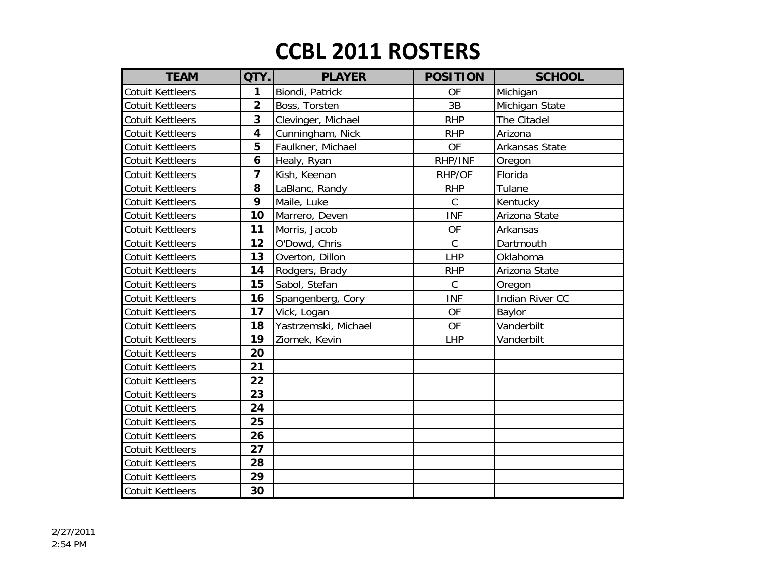| <b>TEAM</b>             | QTY.                    | <b>PLAYER</b>        | <b>POSITION</b> | <b>SCHOOL</b>   |
|-------------------------|-------------------------|----------------------|-----------------|-----------------|
| <b>Cotuit Kettleers</b> | 1                       | Biondi, Patrick      | <b>OF</b>       | Michigan        |
| <b>Cotuit Kettleers</b> | $\overline{2}$          | Boss, Torsten        | 3B              | Michigan State  |
| <b>Cotuit Kettleers</b> | 3                       | Clevinger, Michael   | <b>RHP</b>      | The Citadel     |
| <b>Cotuit Kettleers</b> | $\overline{\mathbf{4}}$ | Cunningham, Nick     | <b>RHP</b>      | Arizona         |
| <b>Cotuit Kettleers</b> | 5                       | Faulkner, Michael    | <b>OF</b>       | Arkansas State  |
| Cotuit Kettleers        | 6                       | Healy, Ryan          | RHP/INF         | Oregon          |
| <b>Cotuit Kettleers</b> | 7                       | Kish, Keenan         | RHP/OF          | Florida         |
| <b>Cotuit Kettleers</b> | 8                       | LaBlanc, Randy       | <b>RHP</b>      | Tulane          |
| <b>Cotuit Kettleers</b> | 9                       | Maile, Luke          | $\mathsf C$     | Kentucky        |
| <b>Cotuit Kettleers</b> | 10                      | Marrero, Deven       | <b>INF</b>      | Arizona State   |
| <b>Cotuit Kettleers</b> | 11                      | Morris, Jacob        | OF              | Arkansas        |
| <b>Cotuit Kettleers</b> | 12                      | O'Dowd, Chris        | $\mathcal{C}$   | Dartmouth       |
| <b>Cotuit Kettleers</b> | 13                      | Overton, Dillon      | LHP             | Oklahoma        |
| <b>Cotuit Kettleers</b> | 14                      | Rodgers, Brady       | <b>RHP</b>      | Arizona State   |
| <b>Cotuit Kettleers</b> | 15                      | Sabol, Stefan        | $\mathsf C$     | Oregon          |
| <b>Cotuit Kettleers</b> | 16                      | Spangenberg, Cory    | <b>INF</b>      | Indian River CC |
| <b>Cotuit Kettleers</b> | 17                      | Vick, Logan          | <b>OF</b>       | Baylor          |
| <b>Cotuit Kettleers</b> | 18                      | Yastrzemski, Michael | <b>OF</b>       | Vanderbilt      |
| <b>Cotuit Kettleers</b> | 19                      | Ziomek, Kevin        | <b>LHP</b>      | Vanderbilt      |
| <b>Cotuit Kettleers</b> | 20                      |                      |                 |                 |
| <b>Cotuit Kettleers</b> | 21                      |                      |                 |                 |
| <b>Cotuit Kettleers</b> | 22                      |                      |                 |                 |
| <b>Cotuit Kettleers</b> | 23                      |                      |                 |                 |
| <b>Cotuit Kettleers</b> | 24                      |                      |                 |                 |
| <b>Cotuit Kettleers</b> | 25                      |                      |                 |                 |
| <b>Cotuit Kettleers</b> | 26                      |                      |                 |                 |
| <b>Cotuit Kettleers</b> | 27                      |                      |                 |                 |
| <b>Cotuit Kettleers</b> | 28                      |                      |                 |                 |
| <b>Cotuit Kettleers</b> | 29                      |                      |                 |                 |
| <b>Cotuit Kettleers</b> | 30                      |                      |                 |                 |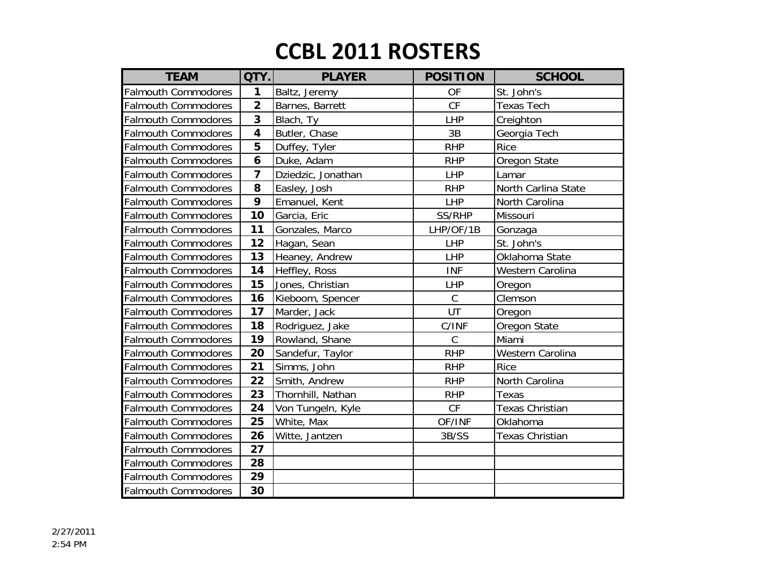| <b>TEAM</b>                | QTY.                    | <b>PLAYER</b>      | <b>POSITION</b> | <b>SCHOOL</b>          |
|----------------------------|-------------------------|--------------------|-----------------|------------------------|
| <b>Falmouth Commodores</b> | 1                       | Baltz, Jeremy      | OF              | St. John's             |
| <b>Falmouth Commodores</b> | $\overline{2}$          | Barnes, Barrett    | <b>CF</b>       | <b>Texas Tech</b>      |
| <b>Falmouth Commodores</b> | $\overline{\mathbf{3}}$ | Blach, Ty          | LHP             | Creighton              |
| <b>Falmouth Commodores</b> | $\overline{\mathbf{4}}$ | Butler, Chase      | 3B              | Georgia Tech           |
| <b>Falmouth Commodores</b> | 5                       | Duffey, Tyler      | <b>RHP</b>      | <b>Rice</b>            |
| <b>Falmouth Commodores</b> | 6                       | Duke, Adam         | <b>RHP</b>      | Oregon State           |
| <b>Falmouth Commodores</b> | $\overline{7}$          | Dziedzic, Jonathan | <b>LHP</b>      | Lamar                  |
| <b>Falmouth Commodores</b> | 8                       | Easley, Josh       | <b>RHP</b>      | North Carlina State    |
| <b>Falmouth Commodores</b> | 9                       | Emanuel, Kent      | <b>LHP</b>      | North Carolina         |
| <b>Falmouth Commodores</b> | 10                      | Garcia, Eric       | SS/RHP          | Missouri               |
| <b>Falmouth Commodores</b> | 11                      | Gonzales, Marco    | LHP/OF/1B       | Gonzaga                |
| <b>Falmouth Commodores</b> | 12                      | Hagan, Sean        | <b>LHP</b>      | St. John's             |
| <b>Falmouth Commodores</b> | 13                      | Heaney, Andrew     | <b>LHP</b>      | Oklahoma State         |
| <b>Falmouth Commodores</b> | 14                      | Heffley, Ross      | <b>INF</b>      | Western Carolina       |
| <b>Falmouth Commodores</b> | 15                      | Jones, Christian   | LHP             | Oregon                 |
| <b>Falmouth Commodores</b> | 16                      | Kieboom, Spencer   | $\mathsf C$     | Clemson                |
| <b>Falmouth Commodores</b> | 17                      | Marder, Jack       | UT              | Oregon                 |
| <b>Falmouth Commodores</b> | 18                      | Rodriguez, Jake    | C/INF           | Oregon State           |
| <b>Falmouth Commodores</b> | 19                      | Rowland, Shane     | $\mathsf C$     | Miami                  |
| <b>Falmouth Commodores</b> | 20                      | Sandefur, Taylor   | <b>RHP</b>      | Western Carolina       |
| <b>Falmouth Commodores</b> | 21                      | Simms, John        | <b>RHP</b>      | <b>Rice</b>            |
| <b>Falmouth Commodores</b> | 22                      | Smith, Andrew      | <b>RHP</b>      | North Carolina         |
| <b>Falmouth Commodores</b> | 23                      | Thornhill, Nathan  | <b>RHP</b>      | Texas                  |
| <b>Falmouth Commodores</b> | 24                      | Von Tungeln, Kyle  | CF              | <b>Texas Christian</b> |
| <b>Falmouth Commodores</b> | 25                      | White, Max         | OF/INF          | Oklahoma               |
| <b>Falmouth Commodores</b> | 26                      | Witte, Jantzen     | 3B/SS           | Texas Christian        |
| <b>Falmouth Commodores</b> | 27                      |                    |                 |                        |
| <b>Falmouth Commodores</b> | 28                      |                    |                 |                        |
| <b>Falmouth Commodores</b> | 29                      |                    |                 |                        |
| <b>Falmouth Commodores</b> | 30                      |                    |                 |                        |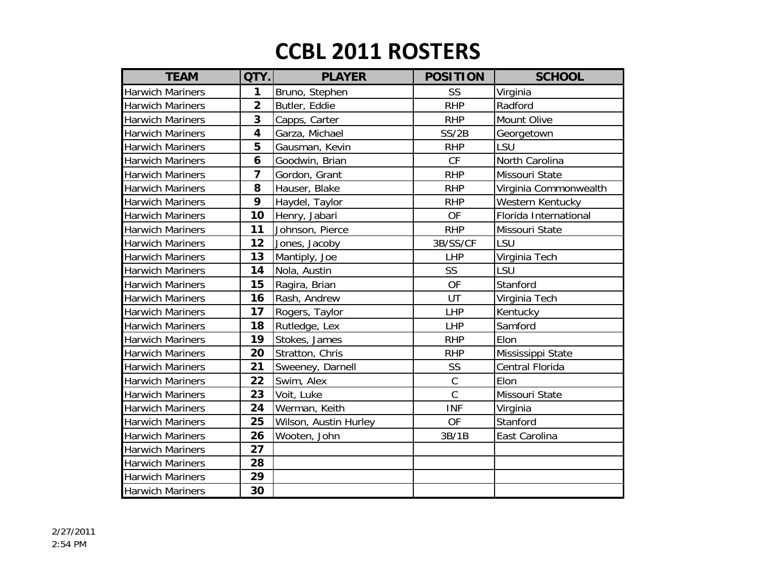| <b>TEAM</b>             | QTY.                    | <b>PLAYER</b>         | <b>POSITION</b> | <b>SCHOOL</b>         |
|-------------------------|-------------------------|-----------------------|-----------------|-----------------------|
| <b>Harwich Mariners</b> | 1                       | Bruno, Stephen        | SS              | Virginia              |
| <b>Harwich Mariners</b> | $\overline{2}$          | Butler, Eddie         | <b>RHP</b>      | Radford               |
| <b>Harwich Mariners</b> | 3                       | Capps, Carter         | <b>RHP</b>      | Mount Olive           |
| <b>Harwich Mariners</b> | $\overline{\mathbf{4}}$ | Garza, Michael        | SS/2B           | Georgetown            |
| <b>Harwich Mariners</b> | 5                       | Gausman, Kevin        | <b>RHP</b>      | LSU                   |
| <b>Harwich Mariners</b> | 6                       | Goodwin, Brian        | CF              | North Carolina        |
| <b>Harwich Mariners</b> | $\overline{\mathbf{z}}$ | Gordon, Grant         | <b>RHP</b>      | Missouri State        |
| <b>Harwich Mariners</b> | 8                       | Hauser, Blake         | <b>RHP</b>      | Virginia Commonwealth |
| <b>Harwich Mariners</b> | 9                       | Haydel, Taylor        | <b>RHP</b>      | Western Kentucky      |
| <b>Harwich Mariners</b> | 10                      | Henry, Jabari         | <b>OF</b>       | Florida International |
| <b>Harwich Mariners</b> | 11                      | Johnson, Pierce       | <b>RHP</b>      | Missouri State        |
| <b>Harwich Mariners</b> | 12                      | Jones, Jacoby         | 3B/SS/CF        | LSU                   |
| <b>Harwich Mariners</b> | 13                      | Mantiply, Joe         | <b>LHP</b>      | Virginia Tech         |
| <b>Harwich Mariners</b> | 14                      | Nola, Austin          | SS              | LSU                   |
| <b>Harwich Mariners</b> | 15                      | Ragira, Brian         | <b>OF</b>       | Stanford              |
| <b>Harwich Mariners</b> | 16                      | Rash, Andrew          | UT              | Virginia Tech         |
| <b>Harwich Mariners</b> | 17                      | Rogers, Taylor        | LHP             | Kentucky              |
| <b>Harwich Mariners</b> | 18                      | Rutledge, Lex         | LHP             | Samford               |
| <b>Harwich Mariners</b> | 19                      | Stokes, James         | <b>RHP</b>      | Elon                  |
| <b>Harwich Mariners</b> | 20                      | Stratton, Chris       | <b>RHP</b>      | Mississippi State     |
| <b>Harwich Mariners</b> | 21                      | Sweeney, Darnell      | SS              | Central Florida       |
| <b>Harwich Mariners</b> | 22                      | Swim, Alex            | $\mathsf{C}$    | Elon                  |
| <b>Harwich Mariners</b> | 23                      | Voit, Luke            | $\mathcal{C}$   | Missouri State        |
| <b>Harwich Mariners</b> | 24                      | Werman, Keith         | <b>INF</b>      | Virginia              |
| <b>Harwich Mariners</b> | 25                      | Wilson, Austin Hurley | <b>OF</b>       | Stanford              |
| <b>Harwich Mariners</b> | 26                      | Wooten, John          | 3B/1B           | East Carolina         |
| <b>Harwich Mariners</b> | 27                      |                       |                 |                       |
| <b>Harwich Mariners</b> | 28                      |                       |                 |                       |
| <b>Harwich Mariners</b> | 29                      |                       |                 |                       |
| <b>Harwich Mariners</b> | 30                      |                       |                 |                       |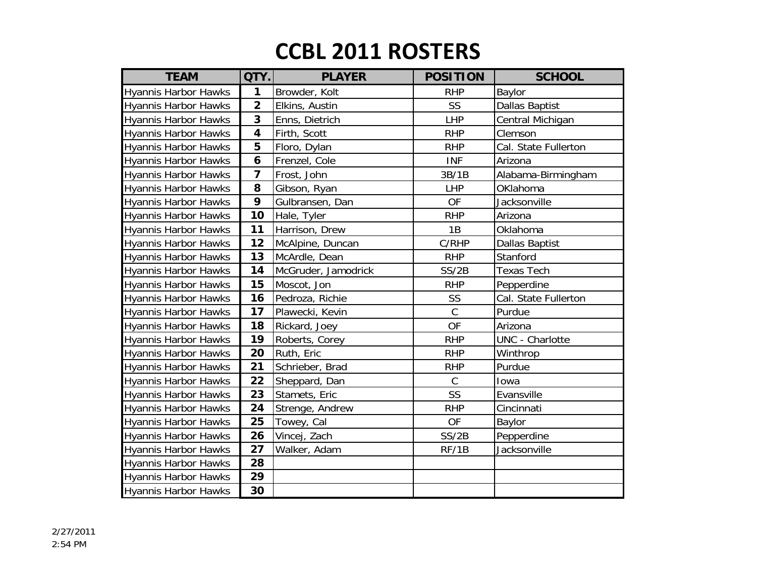| <b>TEAM</b>                 | QTY.                    | <b>PLAYER</b>       | <b>POSITION</b> | <b>SCHOOL</b>          |
|-----------------------------|-------------------------|---------------------|-----------------|------------------------|
| <b>Hyannis Harbor Hawks</b> | 1                       | Browder, Kolt       | <b>RHP</b>      | Baylor                 |
| <b>Hyannis Harbor Hawks</b> | $\overline{\mathbf{2}}$ | Elkins, Austin      | SS              | <b>Dallas Baptist</b>  |
| <b>Hyannis Harbor Hawks</b> | 3                       | Enns, Dietrich      | <b>LHP</b>      | Central Michigan       |
| <b>Hyannis Harbor Hawks</b> | 4                       | Firth, Scott        | <b>RHP</b>      | Clemson                |
| <b>Hyannis Harbor Hawks</b> | 5                       | Floro, Dylan        | <b>RHP</b>      | Cal. State Fullerton   |
| <b>Hyannis Harbor Hawks</b> | 6                       | Frenzel, Cole       | <b>INF</b>      | Arizona                |
| <b>Hyannis Harbor Hawks</b> | 7                       | Frost, John         | 3B/1B           | Alabama-Birmingham     |
| <b>Hyannis Harbor Hawks</b> | 8                       | Gibson, Ryan        | <b>LHP</b>      | OKlahoma               |
| <b>Hyannis Harbor Hawks</b> | 9                       | Gulbransen, Dan     | <b>OF</b>       | Jacksonville           |
| <b>Hyannis Harbor Hawks</b> | 10                      | Hale, Tyler         | <b>RHP</b>      | Arizona                |
| <b>Hyannis Harbor Hawks</b> | 11                      | Harrison, Drew      | 1B              | Oklahoma               |
| <b>Hyannis Harbor Hawks</b> | 12                      | McAlpine, Duncan    | C/RHP           | Dallas Baptist         |
| <b>Hyannis Harbor Hawks</b> | 13                      | McArdle, Dean       | <b>RHP</b>      | Stanford               |
| <b>Hyannis Harbor Hawks</b> | 14                      | McGruder, Jamodrick | SS/2B           | <b>Texas Tech</b>      |
| <b>Hyannis Harbor Hawks</b> | 15                      | Moscot, Jon         | <b>RHP</b>      | Pepperdine             |
| <b>Hyannis Harbor Hawks</b> | 16                      | Pedroza, Richie     | SS              | Cal. State Fullerton   |
| <b>Hyannis Harbor Hawks</b> | 17                      | Plawecki, Kevin     | $\mathsf{C}$    | Purdue                 |
| <b>Hyannis Harbor Hawks</b> | 18                      | Rickard, Joey       | <b>OF</b>       | Arizona                |
| <b>Hyannis Harbor Hawks</b> | 19                      | Roberts, Corey      | <b>RHP</b>      | <b>UNC</b> - Charlotte |
| <b>Hyannis Harbor Hawks</b> | 20                      | Ruth, Eric          | <b>RHP</b>      | Winthrop               |
| <b>Hyannis Harbor Hawks</b> | 21                      | Schrieber, Brad     | <b>RHP</b>      | Purdue                 |
| <b>Hyannis Harbor Hawks</b> | 22                      | Sheppard, Dan       | $\mathsf C$     | Iowa                   |
| <b>Hyannis Harbor Hawks</b> | 23                      | Stamets, Eric       | SS              | Evansville             |
| <b>Hyannis Harbor Hawks</b> | 24                      | Strenge, Andrew     | <b>RHP</b>      | Cincinnati             |
| <b>Hyannis Harbor Hawks</b> | 25                      | Towey, Cal          | <b>OF</b>       | Baylor                 |
| <b>Hyannis Harbor Hawks</b> | 26                      | Vincej, Zach        | SS/2B           | Pepperdine             |
| <b>Hyannis Harbor Hawks</b> | 27                      | Walker, Adam        | RF/1B           | Jacksonville           |
| <b>Hyannis Harbor Hawks</b> | 28                      |                     |                 |                        |
| <b>Hyannis Harbor Hawks</b> | 29                      |                     |                 |                        |
| <b>Hyannis Harbor Hawks</b> | 30                      |                     |                 |                        |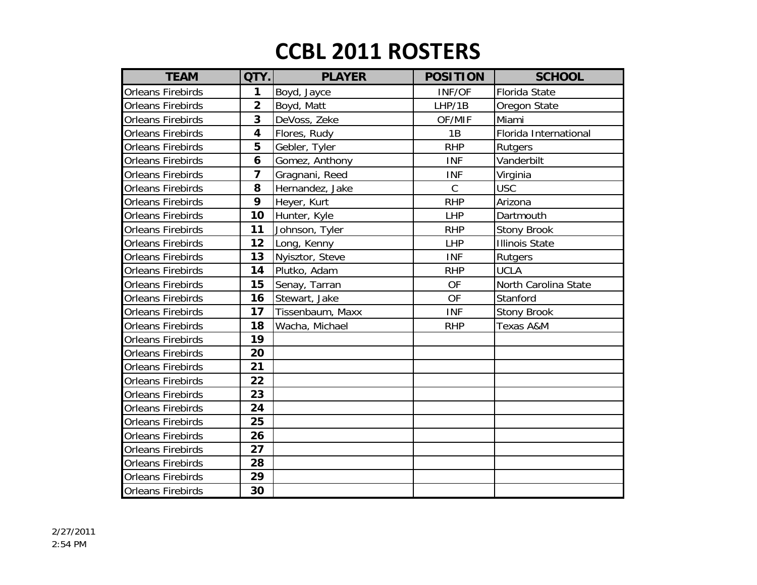| <b>TEAM</b>              | QTY.                    | <b>PLAYER</b>    | <b>POSITION</b> | <b>SCHOOL</b>         |
|--------------------------|-------------------------|------------------|-----------------|-----------------------|
| <b>Orleans Firebirds</b> | 1                       | Boyd, Jayce      | INF/OF          | <b>Florida State</b>  |
| <b>Orleans Firebirds</b> | $\overline{2}$          | Boyd, Matt       | LHP/1B          | Oregon State          |
| <b>Orleans Firebirds</b> | 3                       | DeVoss, Zeke     | OF/MIF          | Miami                 |
| <b>Orleans Firebirds</b> | $\overline{\mathbf{4}}$ | Flores, Rudy     | 1B              | Florida International |
| <b>Orleans Firebirds</b> | 5                       | Gebler, Tyler    | <b>RHP</b>      | Rutgers               |
| <b>Orleans Firebirds</b> | 6                       | Gomez, Anthony   | <b>INF</b>      | Vanderbilt            |
| <b>Orleans Firebirds</b> | $\overline{\mathbf{z}}$ | Gragnani, Reed   | <b>INF</b>      | Virginia              |
| <b>Orleans Firebirds</b> | 8                       | Hernandez, Jake  | $\mathsf C$     | <b>USC</b>            |
| <b>Orleans Firebirds</b> | 9                       | Heyer, Kurt      | <b>RHP</b>      | Arizona               |
| <b>Orleans Firebirds</b> | 10                      | Hunter, Kyle     | <b>LHP</b>      | Dartmouth             |
| <b>Orleans Firebirds</b> | 11                      | Johnson, Tyler   | <b>RHP</b>      | <b>Stony Brook</b>    |
| <b>Orleans Firebirds</b> | 12                      | Long, Kenny      | <b>LHP</b>      | <b>Illinois State</b> |
| <b>Orleans Firebirds</b> | 13                      | Nyisztor, Steve  | <b>INF</b>      | Rutgers               |
| <b>Orleans Firebirds</b> | 14                      | Plutko, Adam     | <b>RHP</b>      | <b>UCLA</b>           |
| <b>Orleans Firebirds</b> | 15                      | Senay, Tarran    | OF              | North Carolina State  |
| <b>Orleans Firebirds</b> | 16                      | Stewart, Jake    | <b>OF</b>       | Stanford              |
| <b>Orleans Firebirds</b> | 17                      | Tissenbaum, Maxx | <b>INF</b>      | <b>Stony Brook</b>    |
| <b>Orleans Firebirds</b> | 18                      | Wacha, Michael   | <b>RHP</b>      | Texas A&M             |
| <b>Orleans Firebirds</b> | 19                      |                  |                 |                       |
| <b>Orleans Firebirds</b> | 20                      |                  |                 |                       |
| <b>Orleans Firebirds</b> | 21                      |                  |                 |                       |
| <b>Orleans Firebirds</b> | 22                      |                  |                 |                       |
| <b>Orleans Firebirds</b> | 23                      |                  |                 |                       |
| <b>Orleans Firebirds</b> | 24                      |                  |                 |                       |
| <b>Orleans Firebirds</b> | 25                      |                  |                 |                       |
| <b>Orleans Firebirds</b> | 26                      |                  |                 |                       |
| <b>Orleans Firebirds</b> | 27                      |                  |                 |                       |
| <b>Orleans Firebirds</b> | 28                      |                  |                 |                       |
| <b>Orleans Firebirds</b> | 29                      |                  |                 |                       |
| <b>Orleans Firebirds</b> | 30                      |                  |                 |                       |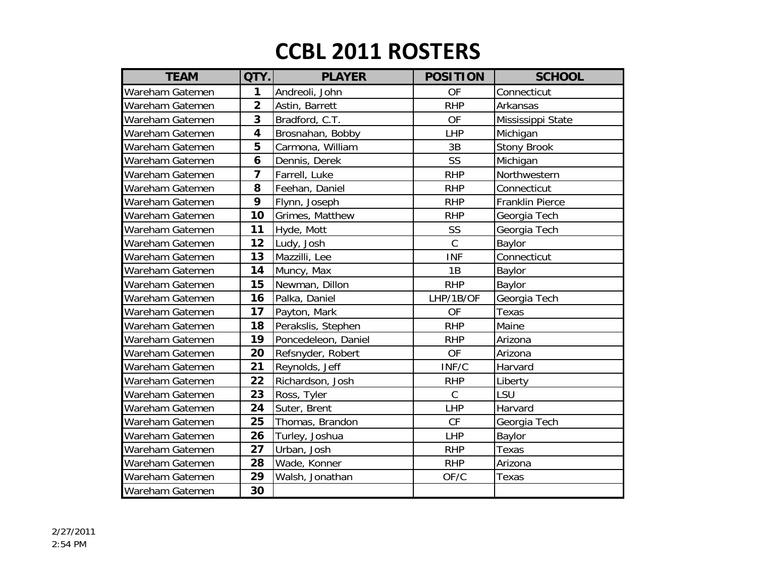| <b>TEAM</b>     | QTY.                    | <b>PLAYER</b>       | <b>POSITION</b> | <b>SCHOOL</b>      |
|-----------------|-------------------------|---------------------|-----------------|--------------------|
| Wareham Gatemen | 1                       | Andreoli, John      | <b>OF</b>       | Connecticut        |
| Wareham Gatemen | $\overline{\mathbf{2}}$ | Astin, Barrett      | <b>RHP</b>      | Arkansas           |
| Wareham Gatemen | 3                       | Bradford, C.T.      | <b>OF</b>       | Mississippi State  |
| Wareham Gatemen | $\overline{\mathbf{4}}$ | Brosnahan, Bobby    | <b>LHP</b>      | Michigan           |
| Wareham Gatemen | 5                       | Carmona, William    | 3B              | <b>Stony Brook</b> |
| Wareham Gatemen | 6                       | Dennis, Derek       | SS              | Michigan           |
| Wareham Gatemen | $\overline{\mathbf{z}}$ | Farrell, Luke       | <b>RHP</b>      | Northwestern       |
| Wareham Gatemen | 8                       | Feehan, Daniel      | <b>RHP</b>      | Connecticut        |
| Wareham Gatemen | 9                       | Flynn, Joseph       | <b>RHP</b>      | Franklin Pierce    |
| Wareham Gatemen | 10                      | Grimes, Matthew     | <b>RHP</b>      | Georgia Tech       |
| Wareham Gatemen | 11                      | Hyde, Mott          | SS              | Georgia Tech       |
| Wareham Gatemen | 12                      | Ludy, Josh          | $\mathcal{C}$   | Baylor             |
| Wareham Gatemen | 13                      | Mazzilli, Lee       | <b>INF</b>      | Connecticut        |
| Wareham Gatemen | 14                      | Muncy, Max          | 1B              | Baylor             |
| Wareham Gatemen | 15                      | Newman, Dillon      | <b>RHP</b>      | Baylor             |
| Wareham Gatemen | 16                      | Palka, Daniel       | LHP/1B/OF       | Georgia Tech       |
| Wareham Gatemen | 17                      | Payton, Mark        | OF              | Texas              |
| Wareham Gatemen | 18                      | Perakslis, Stephen  | <b>RHP</b>      | Maine              |
| Wareham Gatemen | 19                      | Poncedeleon, Daniel | <b>RHP</b>      | Arizona            |
| Wareham Gatemen | 20                      | Refsnyder, Robert   | <b>OF</b>       | Arizona            |
| Wareham Gatemen | 21                      | Reynolds, Jeff      | INF/C           | Harvard            |
| Wareham Gatemen | 22                      | Richardson, Josh    | <b>RHP</b>      | Liberty            |
| Wareham Gatemen | 23                      | Ross, Tyler         | $\mathcal{C}$   | LSU                |
| Wareham Gatemen | 24                      | Suter, Brent        | LHP             | Harvard            |
| Wareham Gatemen | 25                      | Thomas, Brandon     | CF              | Georgia Tech       |
| Wareham Gatemen | 26                      | Turley, Joshua      | LHP             | Baylor             |
| Wareham Gatemen | 27                      | Urban, Josh         | <b>RHP</b>      | Texas              |
| Wareham Gatemen | 28                      | Wade, Konner        | <b>RHP</b>      | Arizona            |
| Wareham Gatemen | 29                      | Walsh, Jonathan     | OF/C            | Texas              |
| Wareham Gatemen | 30                      |                     |                 |                    |